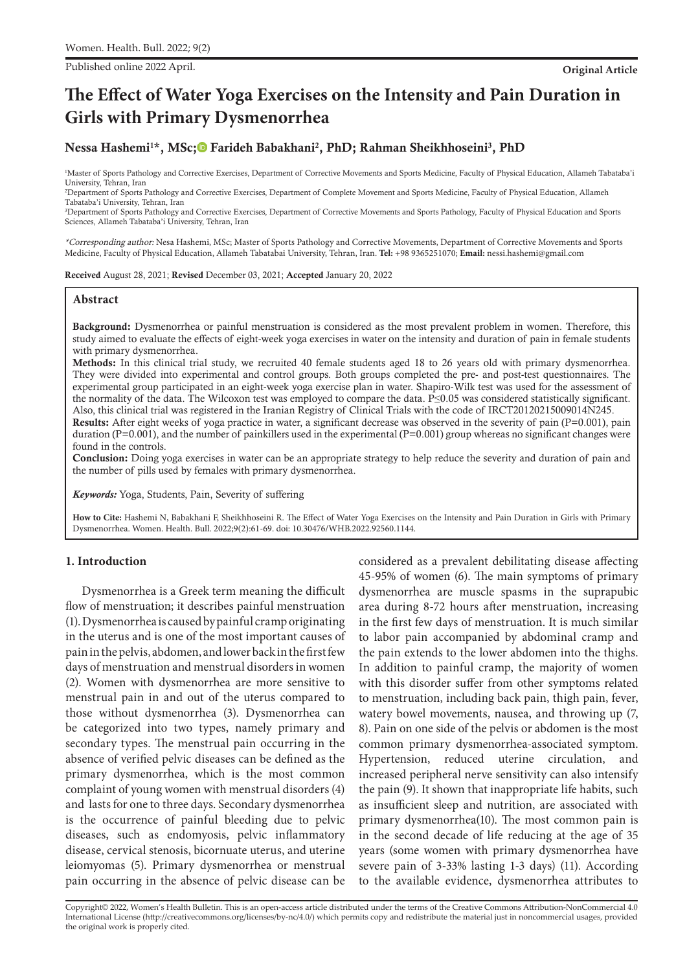Published online 2022 April. **Original Article**

# **The Effect of Water Yoga Exercises on the Intensity and Pain Duration in Girls with Primary Dysmenorrhea**

# Nessa Hashemi<sup>1\*</sup>, MSc;© Farideh Babakhani<sup>2</sup>, PhD[;](https://orcid.org/0000-0002-6606-7932) Rahman Sheikhhoseini<sup>3</sup>, PhD

1 Master of Sports Pathology and Corrective Exercises, Department of Corrective Movements and Sports Medicine, Faculty of Physical Education, Allameh Tabataba'i University, Tehran, Iran

2 Department of Sports Pathology and Corrective Exercises, Department of Complete Movement and Sports Medicine, Faculty of Physical Education, Allameh Tabataba'i University, Tehran, Iran

3 Department of Sports Pathology and Corrective Exercises, Department of Corrective Movements and Sports Pathology, Faculty of Physical Education and Sports Sciences, Allameh Tabataba'i University, Tehran, Iran

\*Corresponding author: Nesa Hashemi, MSc; Master of Sports Pathology and Corrective Movements, Department of Corrective Movements and Sports Medicine, Faculty of Physical Education, Allameh Tabatabai University, Tehran, Iran. **Tel:** +98 9365251070; **Email:** nessi.hashemi@gmail.com

Received August 28, 2021; Revised December 03, 2021; Accepted January 20, 2022

## **Abstract**

Background: Dysmenorrhea or painful menstruation is considered as the most prevalent problem in women. Therefore, this study aimed to evaluate the effects of eight-week yoga exercises in water on the intensity and duration of pain in female students with primary dysmenorrhea.

Methods: In this clinical trial study, we recruited 40 female students aged 18 to 26 years old with primary dysmenorrhea. They were divided into experimental and control groups. Both groups completed the pre- and post-test questionnaires. The experimental group participated in an eight-week yoga exercise plan in water. Shapiro-Wilk test was used for the assessment of the normality of the data. The Wilcoxon test was employed to compare the data. P≤0.05 was considered statistically significant. Also, this clinical trial was registered in the Iranian Registry of Clinical Trials with the code of IRCT20120215009014N245.

Results: After eight weeks of yoga practice in water, a significant decrease was observed in the severity of pain (P=0.001), pain duration (P=0.001), and the number of painkillers used in the experimental (P=0.001) group whereas no significant changes were found in the controls.

Conclusion: Doing yoga exercises in water can be an appropriate strategy to help reduce the severity and duration of pain and the number of pills used by females with primary dysmenorrhea.

*Keywords:* Yoga, Students, Pain, Severity of suffering

**How to Cite:** Hashemi N, Babakhani F, Sheikhhoseini R. The Effect of Water Yoga Exercises on the Intensity and Pain Duration in Girls with Primary Dysmenorrhea. Women. Health. Bull. 2022;9(2):61-69. doi: 10.30476/WHB.2022.92560.1144.

# **1. Introduction**

Dysmenorrhea is a Greek term meaning the difficult flow of menstruation; it describes painful menstruation (1). Dysmenorrhea is caused by painful cramp originating in the uterus and is one of the most important causes of pain in the pelvis, abdomen, and lower back in the first few days of menstruation and menstrual disorders in women (2). Women with dysmenorrhea are more sensitive to menstrual pain in and out of the uterus compared to those without dysmenorrhea (3). Dysmenorrhea can be categorized into two types, namely primary and secondary types. The menstrual pain occurring in the absence of verified pelvic diseases can be defined as the primary dysmenorrhea, which is the most common complaint of young women with menstrual disorders (4) and lasts for one to three days. Secondary dysmenorrhea is the occurrence of painful bleeding due to pelvic diseases, such as endomyosis, pelvic inflammatory disease, cervical stenosis, bicornuate uterus, and uterine leiomyomas (5). Primary dysmenorrhea or menstrual pain occurring in the absence of pelvic disease can be

considered as a prevalent debilitating disease affecting 45-95% of women (6). The main symptoms of primary dysmenorrhea are muscle spasms in the suprapubic area during 8-72 hours after menstruation, increasing in the first few days of menstruation. It is much similar to labor pain accompanied by abdominal cramp and the pain extends to the lower abdomen into the thighs. In addition to painful cramp, the majority of women with this disorder suffer from other symptoms related to menstruation, including back pain, thigh pain, fever, watery bowel movements, nausea, and throwing up (7, 8). Pain on one side of the pelvis or abdomen is the most common primary dysmenorrhea-associated symptom. Hypertension, reduced uterine circulation, and increased peripheral nerve sensitivity can also intensify the pain (9). It shown that inappropriate life habits, such as insufficient sleep and nutrition, are associated with primary dysmenorrhea(10). The most common pain is in the second decade of life reducing at the age of 35 years (some women with primary dysmenorrhea have severe pain of 3-33% lasting 1-3 days) (11). According to the available evidence, dysmenorrhea attributes to

Copyright© 2022, Women's Health Bulletin. This is an open-access article distributed under the terms of the Creative Commons Attribution-NonCommercial 4.0 International License (http://creativecommons.org/licenses/by-nc/4.0/) which permits copy and redistribute the material just in noncommercial usages, provided the original work is properly cited.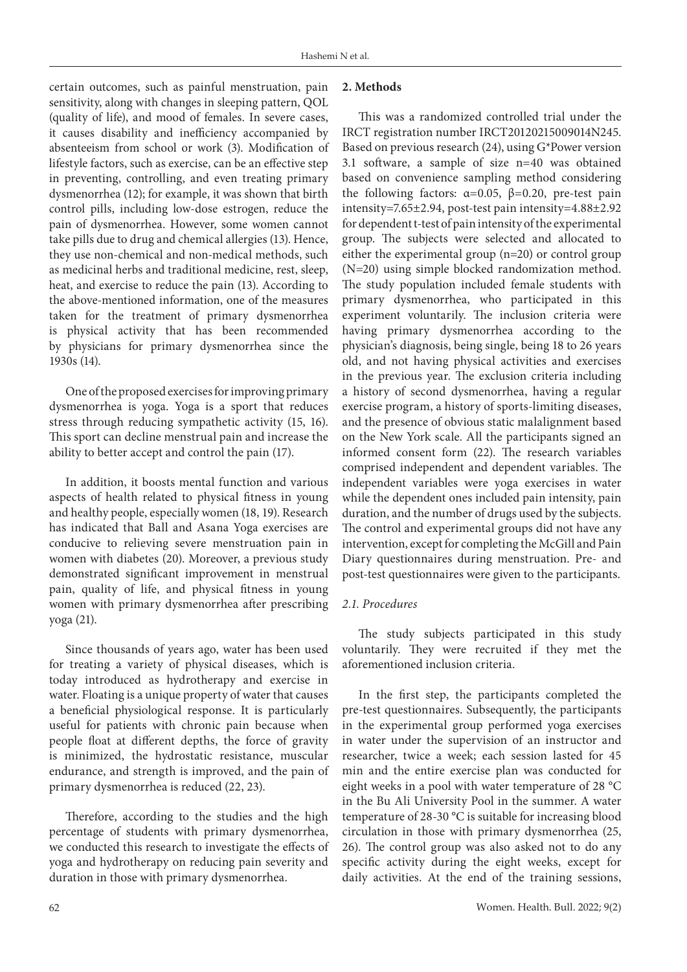certain outcomes, such as painful menstruation, pain sensitivity, along with changes in sleeping pattern, QOL (quality of life), and mood of females. In severe cases, it causes disability and inefficiency accompanied by absenteeism from school or work (3). Modification of lifestyle factors, such as exercise, can be an effective step in preventing, controlling, and even treating primary dysmenorrhea (12); for example, it was shown that birth control pills, including low-dose estrogen, reduce the pain of dysmenorrhea. However, some women cannot take pills due to drug and chemical allergies (13). Hence, they use non-chemical and non-medical methods, such as medicinal herbs and traditional medicine, rest, sleep, heat, and exercise to reduce the pain (13). According to the above-mentioned information, one of the measures taken for the treatment of primary dysmenorrhea is physical activity that has been recommended by physicians for primary dysmenorrhea since the 1930s (14).

One of the proposed exercises for improving primary dysmenorrhea is yoga. Yoga is a sport that reduces stress through reducing sympathetic activity (15, 16). This sport can decline menstrual pain and increase the ability to better accept and control the pain (17).

In addition, it boosts mental function and various aspects of health related to physical fitness in young and healthy people, especially women (18, 19). Research has indicated that Ball and Asana Yoga exercises are conducive to relieving severe menstruation pain in women with diabetes (20). Moreover, a previous study demonstrated significant improvement in menstrual pain, quality of life, and physical fitness in young women with primary dysmenorrhea after prescribing yoga (21).

Since thousands of years ago, water has been used for treating a variety of physical diseases, which is today introduced as hydrotherapy and exercise in water. Floating is a unique property of water that causes a beneficial physiological response. It is particularly useful for patients with chronic pain because when people float at different depths, the force of gravity is minimized, the hydrostatic resistance, muscular endurance, and strength is improved, and the pain of primary dysmenorrhea is reduced (22, 23).

Therefore, according to the studies and the high percentage of students with primary dysmenorrhea, we conducted this research to investigate the effects of yoga and hydrotherapy on reducing pain severity and duration in those with primary dysmenorrhea.

# **2. Methods**

This was a randomized controlled trial under the IRCT registration number IRCT20120215009014N245. Based on previous research (24), using G\*Power version 3.1 software, a sample of size n=40 was obtained based on convenience sampling method considering the following factors:  $\alpha=0.05$ ,  $\beta=0.20$ , pre-test pain intensity=7.65±2.94, post-test pain intensity=4.88±2.92 for dependent t-test of pain intensity of the experimental group. The subjects were selected and allocated to either the experimental group (n=20) or control group (N=20) using simple blocked randomization method. The study population included female students with primary dysmenorrhea, who participated in this experiment voluntarily. The inclusion criteria were having primary dysmenorrhea according to the physician's diagnosis, being single, being 18 to 26 years old, and not having physical activities and exercises in the previous year. The exclusion criteria including a history of second dysmenorrhea, having a regular exercise program, a history of sports-limiting diseases, and the presence of obvious static malalignment based on the New York scale. All the participants signed an informed consent form (22). The research variables comprised independent and dependent variables. The independent variables were yoga exercises in water while the dependent ones included pain intensity, pain duration, and the number of drugs used by the subjects. The control and experimental groups did not have any intervention, except for completing the McGill and Pain Diary questionnaires during menstruation. Pre- and post-test questionnaires were given to the participants.

# *2.1. Procedures*

The study subjects participated in this study voluntarily. They were recruited if they met the aforementioned inclusion criteria.

In the first step, the participants completed the pre-test questionnaires. Subsequently, the participants in the experimental group performed yoga exercises in water under the supervision of an instructor and researcher, twice a week; each session lasted for 45 min and the entire exercise plan was conducted for eight weeks in a pool with water temperature of 28 °C in the Bu Ali University Pool in the summer. A water temperature of 28-30 °C is suitable for increasing blood circulation in those with primary dysmenorrhea (25, 26). The control group was also asked not to do any specific activity during the eight weeks, except for daily activities. At the end of the training sessions,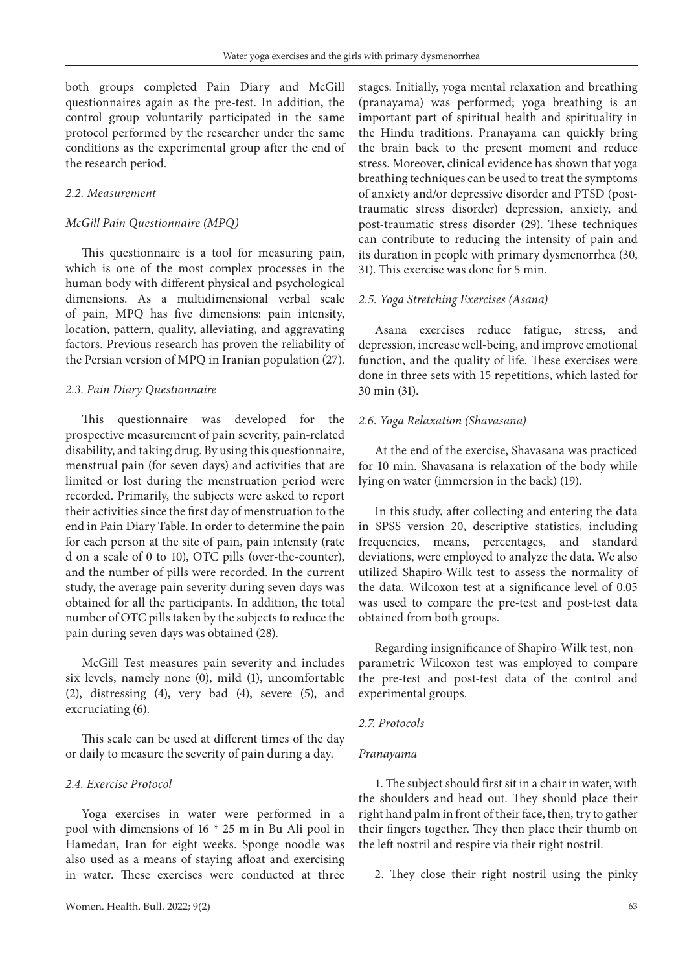both groups completed Pain Diary and McGill questionnaires again as the pre-test. In addition, the control group voluntarily participated in the same protocol performed by the researcher under the same conditions as the experimental group after the end of the research period.

### *2.2. Measurement*

#### *McGill Pain Questionnaire (MPQ)*

This questionnaire is a tool for measuring pain, which is one of the most complex processes in the human body with different physical and psychological dimensions. As a multidimensional verbal scale of pain, MPQ has five dimensions: pain intensity, location, pattern, quality, alleviating, and aggravating factors. Previous research has proven the reliability of the Persian version of MPQ in Iranian population (27).

#### *2.3. Pain Diary Questionnaire*

This questionnaire was developed for the prospective measurement of pain severity, pain-related disability, and taking drug. By using this questionnaire, menstrual pain (for seven days) and activities that are limited or lost during the menstruation period were recorded. Primarily, the subjects were asked to report their activities since the first day of menstruation to the end in Pain Diary Table. In order to determine the pain for each person at the site of pain, pain intensity (rate d on a scale of 0 to 10), OTC pills (over-the-counter), and the number of pills were recorded. In the current study, the average pain severity during seven days was obtained for all the participants. In addition, the total number of OTC pills taken by the subjects to reduce the pain during seven days was obtained (28).

McGill Test measures pain severity and includes six levels, namely none (0), mild (1), uncomfortable (2), distressing (4), very bad (4), severe (5), and excruciating (6).

This scale can be used at different times of the day or daily to measure the severity of pain during a day.

## *2.4. Exercise Protocol*

Yoga exercises in water were performed in a pool with dimensions of 16 \* 25 m in Bu Ali pool in Hamedan, Iran for eight weeks. Sponge noodle was also used as a means of staying afloat and exercising in water. These exercises were conducted at three

stages. Initially, yoga mental relaxation and breathing (pranayama) was performed; yoga breathing is an important part of spiritual health and spirituality in the Hindu traditions. Pranayama can quickly bring the brain back to the present moment and reduce stress. Moreover, clinical evidence has shown that yoga breathing techniques can be used to treat the symptoms of anxiety and/or depressive disorder and PTSD (posttraumatic stress disorder) depression, anxiety, and post-traumatic stress disorder (29). These techniques can contribute to reducing the intensity of pain and its duration in people with primary dysmenorrhea (30, 31). This exercise was done for 5 min.

#### *2.5. Yoga Stretching Exercises (Asana)*

Asana exercises reduce fatigue, stress, and depression, increase well-being, and improve emotional function, and the quality of life. These exercises were done in three sets with 15 repetitions, which lasted for 30 min (31).

#### *2.6. Yoga Relaxation (Shavasana)*

At the end of the exercise, Shavasana was practiced for 10 min. Shavasana is relaxation of the body while lying on water (immersion in the back) (19).

In this study, after collecting and entering the data in SPSS version 20, descriptive statistics, including frequencies, means, percentages, and standard deviations, were employed to analyze the data. We also utilized Shapiro-Wilk test to assess the normality of the data. Wilcoxon test at a significance level of 0.05 was used to compare the pre-test and post-test data obtained from both groups.

Regarding insignificance of Shapiro-Wilk test, nonparametric Wilcoxon test was employed to compare the pre-test and post-test data of the control and experimental groups.

#### *2.7. Protocols*

#### *Pranayama*

1. The subject should first sit in a chair in water, with the shoulders and head out. They should place their right hand palm in front of their face, then, try to gather their fingers together. They then place their thumb on the left nostril and respire via their right nostril.

2. They close their right nostril using the pinky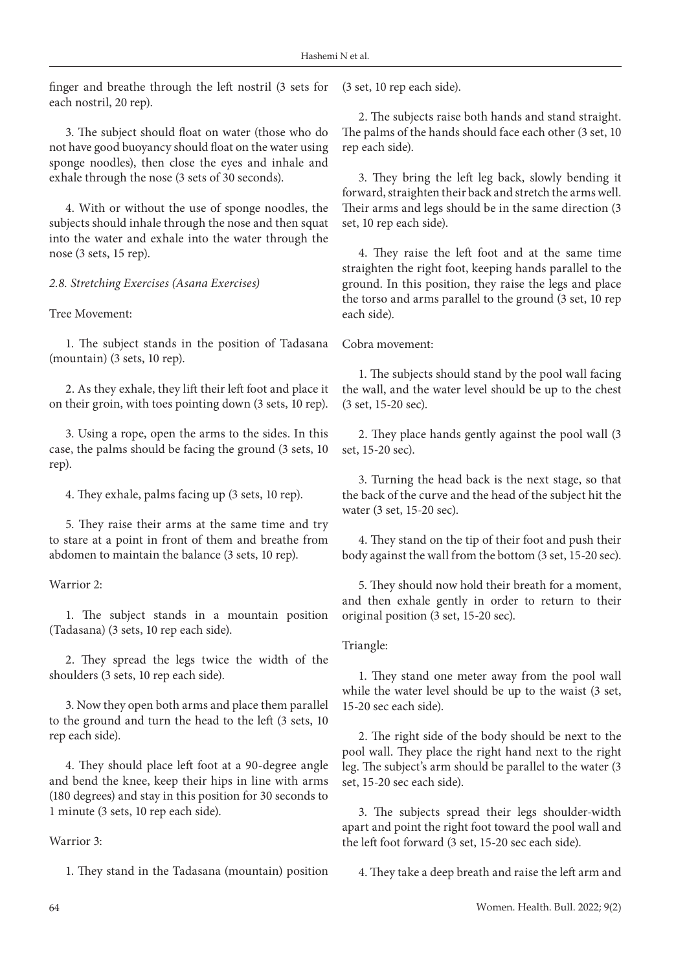finger and breathe through the left nostril (3 sets for each nostril, 20 rep).

3. The subject should float on water (those who do not have good buoyancy should float on the water using sponge noodles), then close the eyes and inhale and exhale through the nose (3 sets of 30 seconds).

4. With or without the use of sponge noodles, the subjects should inhale through the nose and then squat into the water and exhale into the water through the nose (3 sets, 15 rep).

*2.8. Stretching Exercises (Asana Exercises)*

Tree Movement:

1. The subject stands in the position of Tadasana (mountain) (3 sets, 10 rep).

2. As they exhale, they lift their left foot and place it on their groin, with toes pointing down (3 sets, 10 rep).

3. Using a rope, open the arms to the sides. In this case, the palms should be facing the ground (3 sets, 10 rep).

4. They exhale, palms facing up (3 sets, 10 rep).

5. They raise their arms at the same time and try to stare at a point in front of them and breathe from abdomen to maintain the balance (3 sets, 10 rep).

# Warrior 2.

1. The subject stands in a mountain position (Tadasana) (3 sets, 10 rep each side).

2. They spread the legs twice the width of the shoulders (3 sets, 10 rep each side).

3. Now they open both arms and place them parallel to the ground and turn the head to the left (3 sets, 10 rep each side).

4. They should place left foot at a 90-degree angle and bend the knee, keep their hips in line with arms (180 degrees) and stay in this position for 30 seconds to 1 minute (3 sets, 10 rep each side).

## Warrior 3:

1. They stand in the Tadasana (mountain) position

(3 set, 10 rep each side).

2. The subjects raise both hands and stand straight. The palms of the hands should face each other (3 set, 10 rep each side).

3. They bring the left leg back, slowly bending it forward, straighten their back and stretch the arms well. Their arms and legs should be in the same direction (3 set, 10 rep each side).

4. They raise the left foot and at the same time straighten the right foot, keeping hands parallel to the ground. In this position, they raise the legs and place the torso and arms parallel to the ground (3 set, 10 rep each side).

Cobra movement:

1. The subjects should stand by the pool wall facing the wall, and the water level should be up to the chest (3 set, 15-20 sec).

2. They place hands gently against the pool wall (3 set, 15-20 sec).

3. Turning the head back is the next stage, so that the back of the curve and the head of the subject hit the water (3 set, 15-20 sec).

4. They stand on the tip of their foot and push their body against the wall from the bottom (3 set, 15-20 sec).

5. They should now hold their breath for a moment, and then exhale gently in order to return to their original position (3 set, 15-20 sec).

## Triangle:

1. They stand one meter away from the pool wall while the water level should be up to the waist (3 set, 15-20 sec each side).

2. The right side of the body should be next to the pool wall. They place the right hand next to the right leg. The subject's arm should be parallel to the water (3 set, 15-20 sec each side).

3. The subjects spread their legs shoulder-width apart and point the right foot toward the pool wall and the left foot forward (3 set, 15-20 sec each side).

4. They take a deep breath and raise the left arm and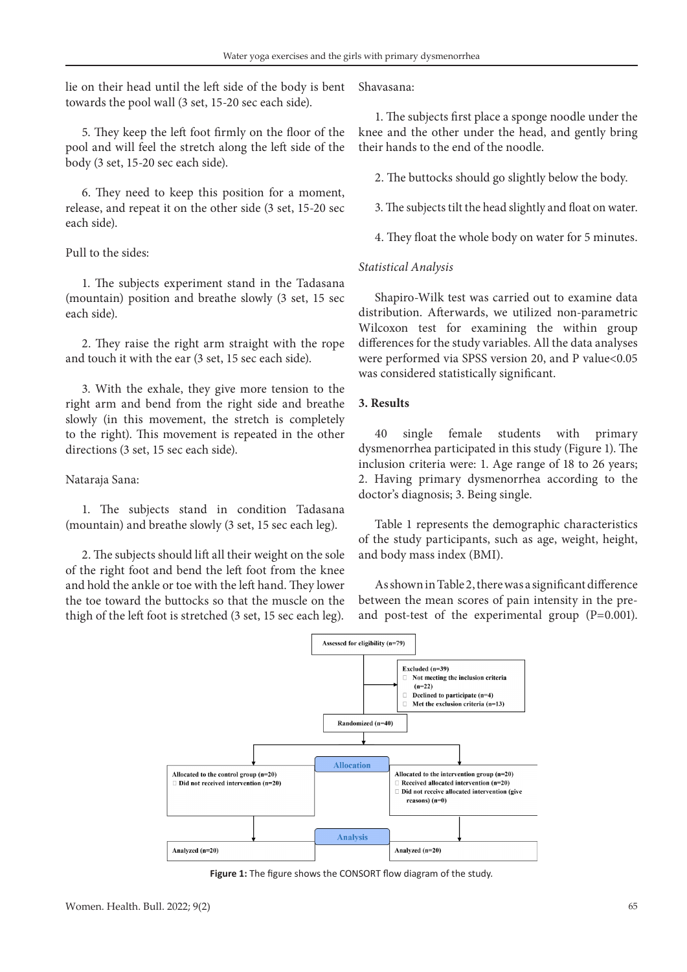lie on their head until the left side of the body is bent towards the pool wall (3 set, 15-20 sec each side).

5. They keep the left foot firmly on the floor of the pool and will feel the stretch along the left side of the body (3 set, 15-20 sec each side).

6. They need to keep this position for a moment, release, and repeat it on the other side (3 set, 15-20 sec each side).

### Pull to the sides:

1. The subjects experiment stand in the Tadasana (mountain) position and breathe slowly (3 set, 15 sec each side).

2. They raise the right arm straight with the rope and touch it with the ear (3 set, 15 sec each side).

3. With the exhale, they give more tension to the right arm and bend from the right side and breathe slowly (in this movement, the stretch is completely to the right). This movement is repeated in the other directions (3 set, 15 sec each side).

## Nataraja Sana:

1. The subjects stand in condition Tadasana (mountain) and breathe slowly (3 set, 15 sec each leg).

2. The subjects should lift all their weight on the sole of the right foot and bend the left foot from the knee and hold the ankle or toe with the left hand. They lower the toe toward the buttocks so that the muscle on the thigh of the left foot is stretched (3 set, 15 sec each leg).

Shavasana:

1. The subjects first place a sponge noodle under the knee and the other under the head, and gently bring their hands to the end of the noodle.

2. The buttocks should go slightly below the body.

3. The subjects tilt the head slightly and float on water.

4. They float the whole body on water for 5 minutes.

## *Statistical Analysis*

Shapiro-Wilk test was carried out to examine data distribution. Afterwards, we utilized non-parametric Wilcoxon test for examining the within group differences for the study variables. All the data analyses were performed via SPSS version 20, and P value<0.05 was considered statistically significant.

# **3. Results**

40 single female students with primary dysmenorrhea participated in this study (Figure 1). The inclusion criteria were: 1. Age range of 18 to 26 years; 2. Having primary dysmenorrhea according to the doctor's diagnosis; 3. Being single.

Table 1 represents the demographic characteristics of the study participants, such as age, weight, height, and body mass index (BMI).

As shown in Table 2, there was a significant difference between the mean scores of pain intensity in the preand post-test of the experimental group (P=0.001).



**Figure 1:** The figure shows the CONSORT flow diagram of the study.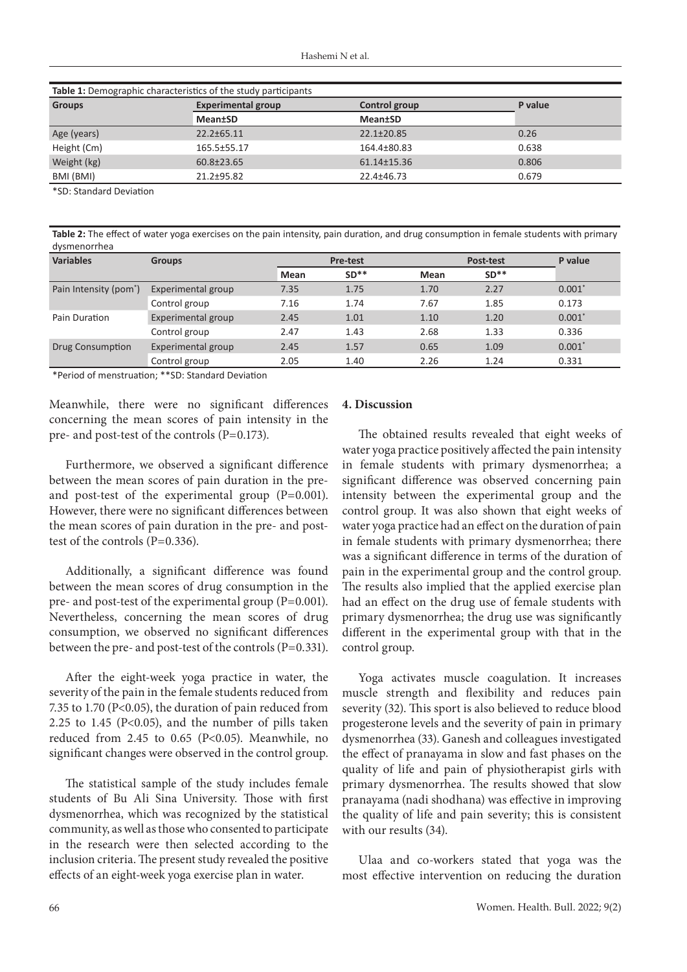| Table 1: Demographic characteristics of the study participants |                           |                 |         |  |  |  |
|----------------------------------------------------------------|---------------------------|-----------------|---------|--|--|--|
| <b>Groups</b>                                                  | <b>Experimental group</b> | Control group   | P value |  |  |  |
|                                                                | <b>Mean</b> tSD           | <b>Mean</b> tSD |         |  |  |  |
| Age (years)                                                    | 22.2±65.11                | 22.1±20.85      | 0.26    |  |  |  |
| Height (Cm)                                                    | 165.5±55.17               | 164.4±80.83     | 0.638   |  |  |  |
| Weight (kg)                                                    | 60.8±23.65                | 61.14±15.36     | 0.806   |  |  |  |
| BMI (BMI)                                                      | 21.2±95.82                | 22.4±46.73      | 0.679   |  |  |  |

\*SD: Standard Deviation

**Table 2:** The effect of water yoga exercises on the pain intensity, pain duration, and drug consumption in female students with primary dysmenorrhea

| <b>Variables</b>                   | <b>Groups</b>      | <b>Pre-test</b> |        | Post-test |        | P value  |
|------------------------------------|--------------------|-----------------|--------|-----------|--------|----------|
|                                    |                    | Mean            | $SD**$ | Mean      | $SD**$ |          |
| Pain Intensity (pom <sup>*</sup> ) | Experimental group | 7.35            | 1.75   | 1.70      | 2.27   | $0.001*$ |
|                                    | Control group      | 7.16            | 1.74   | 7.67      | 1.85   | 0.173    |
| Pain Duration                      | Experimental group | 2.45            | 1.01   | 1.10      | 1.20   | $0.001*$ |
|                                    | Control group      | 2.47            | 1.43   | 2.68      | 1.33   | 0.336    |
| Drug Consumption                   | Experimental group | 2.45            | 1.57   | 0.65      | 1.09   | $0.001*$ |
|                                    | Control group      | 2.05            | 1.40   | 2.26      | 1.24   | 0.331    |

\*Period of menstruation; \*\*SD: Standard Deviation

Meanwhile, there were no significant differences concerning the mean scores of pain intensity in the pre- and post-test of the controls (P=0.173).

Furthermore, we observed a significant difference between the mean scores of pain duration in the preand post-test of the experimental group (P=0.001). However, there were no significant differences between the mean scores of pain duration in the pre- and posttest of the controls (P=0.336).

Additionally, a significant difference was found between the mean scores of drug consumption in the pre- and post-test of the experimental group (P=0.001). Nevertheless, concerning the mean scores of drug consumption, we observed no significant differences between the pre- and post-test of the controls (P=0.331).

After the eight-week yoga practice in water, the severity of the pain in the female students reduced from 7.35 to 1.70 (P<0.05), the duration of pain reduced from 2.25 to 1.45 ( $P<0.05$ ), and the number of pills taken reduced from 2.45 to 0.65 (P<0.05). Meanwhile, no significant changes were observed in the control group.

The statistical sample of the study includes female students of Bu Ali Sina University. Those with first dysmenorrhea, which was recognized by the statistical community, as well as those who consented to participate in the research were then selected according to the inclusion criteria. The present study revealed the positive effects of an eight-week yoga exercise plan in water.

## **4. Discussion**

The obtained results revealed that eight weeks of water yoga practice positively affected the pain intensity in female students with primary dysmenorrhea; a significant difference was observed concerning pain intensity between the experimental group and the control group. It was also shown that eight weeks of water yoga practice had an effect on the duration of pain in female students with primary dysmenorrhea; there was a significant difference in terms of the duration of pain in the experimental group and the control group. The results also implied that the applied exercise plan had an effect on the drug use of female students with primary dysmenorrhea; the drug use was significantly different in the experimental group with that in the control group.

Yoga activates muscle coagulation. It increases muscle strength and flexibility and reduces pain severity (32). This sport is also believed to reduce blood progesterone levels and the severity of pain in primary dysmenorrhea (33). Ganesh and colleagues investigated the effect of pranayama in slow and fast phases on the quality of life and pain of physiotherapist girls with primary dysmenorrhea. The results showed that slow pranayama (nadi shodhana) was effective in improving the quality of life and pain severity; this is consistent with our results (34).

Ulaa and co-workers stated that yoga was the most effective intervention on reducing the duration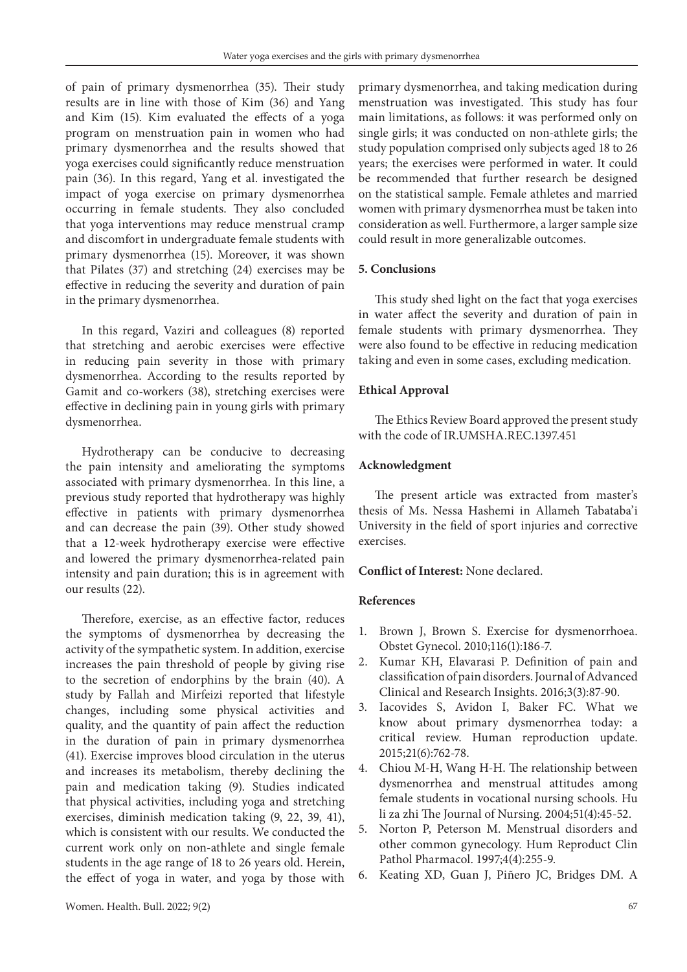of pain of primary dysmenorrhea (35). Their study results are in line with those of Kim (36) and Yang and Kim (15). Kim evaluated the effects of a yoga program on menstruation pain in women who had primary dysmenorrhea and the results showed that yoga exercises could significantly reduce menstruation pain (36). In this regard, Yang et al. investigated the impact of yoga exercise on primary dysmenorrhea occurring in female students. They also concluded that yoga interventions may reduce menstrual cramp and discomfort in undergraduate female students with primary dysmenorrhea (15). Moreover, it was shown that Pilates (37) and stretching (24) exercises may be effective in reducing the severity and duration of pain in the primary dysmenorrhea.

In this regard, Vaziri and colleagues (8) reported that stretching and aerobic exercises were effective in reducing pain severity in those with primary dysmenorrhea. According to the results reported by Gamit and co-workers (38), stretching exercises were effective in declining pain in young girls with primary dysmenorrhea.

Hydrotherapy can be conducive to decreasing the pain intensity and ameliorating the symptoms associated with primary dysmenorrhea. In this line, a previous study reported that hydrotherapy was highly effective in patients with primary dysmenorrhea and can decrease the pain (39). Other study showed that a 12-week hydrotherapy exercise were effective and lowered the primary dysmenorrhea-related pain intensity and pain duration; this is in agreement with our results (22).

Therefore, exercise, as an effective factor, reduces the symptoms of dysmenorrhea by decreasing the activity of the sympathetic system. In addition, exercise increases the pain threshold of people by giving rise to the secretion of endorphins by the brain (40). A study by Fallah and Mirfeizi reported that lifestyle changes, including some physical activities and quality, and the quantity of pain affect the reduction in the duration of pain in primary dysmenorrhea (41). Exercise improves blood circulation in the uterus and increases its metabolism, thereby declining the pain and medication taking (9). Studies indicated that physical activities, including yoga and stretching exercises, diminish medication taking (9, 22, 39, 41), which is consistent with our results. We conducted the current work only on non-athlete and single female students in the age range of 18 to 26 years old. Herein, the effect of yoga in water, and yoga by those with

primary dysmenorrhea, and taking medication during menstruation was investigated. This study has four main limitations, as follows: it was performed only on single girls; it was conducted on non-athlete girls; the study population comprised only subjects aged 18 to 26 years; the exercises were performed in water. It could be recommended that further research be designed on the statistical sample. Female athletes and married women with primary dysmenorrhea must be taken into consideration as well. Furthermore, a larger sample size could result in more generalizable outcomes.

# **5. Conclusions**

This study shed light on the fact that yoga exercises in water affect the severity and duration of pain in female students with primary dysmenorrhea. They were also found to be effective in reducing medication taking and even in some cases, excluding medication.

# **Ethical Approval**

The Ethics Review Board approved the present study with the code of IR.UMSHA.REC.1397.451

# **Acknowledgment**

The present article was extracted from master's thesis of Ms. Nessa Hashemi in Allameh Tabataba'i University in the field of sport injuries and corrective exercises.

# **Conflict of Interest:** None declared.

## **References**

- 1. Brown J, Brown S. Exercise for dysmenorrhoea. Obstet Gynecol. 2010;116(1):186-7.
- 2. Kumar KH, Elavarasi P. Definition of pain and classification of pain disorders. Journal of Advanced Clinical and Research Insights. 2016;3(3):87-90.
- 3. Iacovides S, Avidon I, Baker FC. What we know about primary dysmenorrhea today: a critical review. Human reproduction update. 2015;21(6):762-78.
- 4. Chiou M-H, Wang H-H. The relationship between dysmenorrhea and menstrual attitudes among female students in vocational nursing schools. Hu li za zhi The Journal of Nursing. 2004;51(4):45-52.
- 5. Norton P, Peterson M. Menstrual disorders and other common gynecology. Hum Reproduct Clin Pathol Pharmacol. 1997;4(4):255-9.
- 6. Keating XD, Guan J, Piñero JC, Bridges DM. A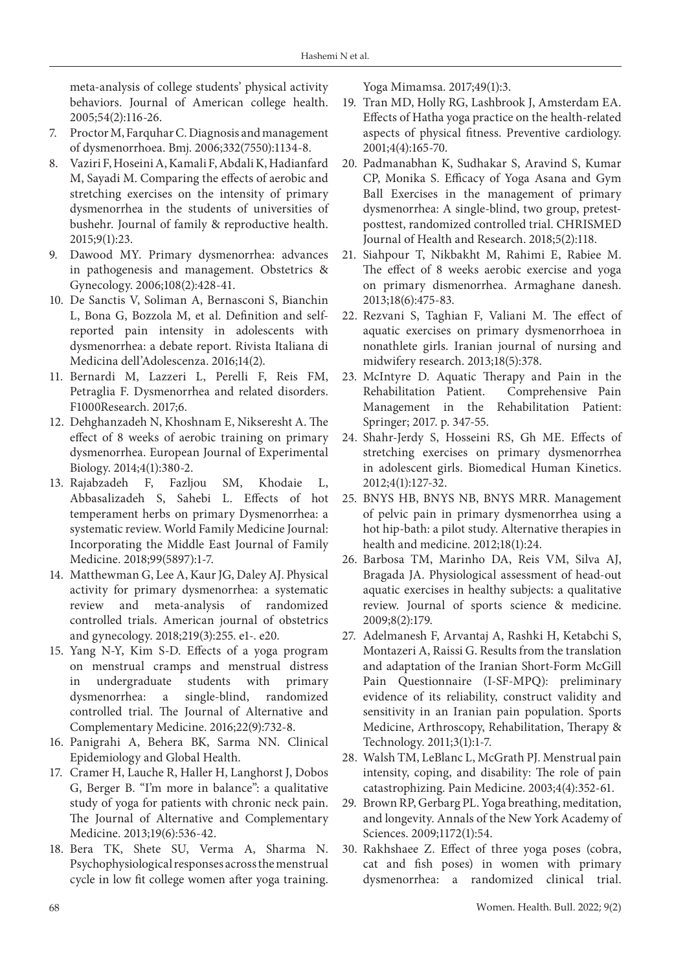meta-analysis of college students' physical activity behaviors. Journal of American college health. 2005;54(2):116-26.

- 7. Proctor M, Farquhar C. Diagnosis and management of dysmenorrhoea. Bmj. 2006;332(7550):1134-8.
- 8. Vaziri F, Hoseini A, Kamali F, Abdali K, Hadianfard M, Sayadi M. Comparing the effects of aerobic and stretching exercises on the intensity of primary dysmenorrhea in the students of universities of bushehr. Journal of family & reproductive health. 2015;9(1):23.
- 9. Dawood MY. Primary dysmenorrhea: advances in pathogenesis and management. Obstetrics & Gynecology. 2006;108(2):428-41.
- 10. De Sanctis V, Soliman A, Bernasconi S, Bianchin L, Bona G, Bozzola M, et al. Definition and selfreported pain intensity in adolescents with dysmenorrhea: a debate report. Rivista Italiana di Medicina dell'Adolescenza. 2016;14(2).
- 11. Bernardi M, Lazzeri L, Perelli F, Reis FM, Petraglia F. Dysmenorrhea and related disorders. F1000Research. 2017;6.
- 12. Dehghanzadeh N, Khoshnam E, Nikseresht A. The effect of 8 weeks of aerobic training on primary dysmenorrhea. European Journal of Experimental Biology. 2014;4(1):380-2.
- 13. Rajabzadeh F, Fazljou SM, Khodaie L, Abbasalizadeh S, Sahebi L. Effects of hot temperament herbs on primary Dysmenorrhea: a systematic review. World Family Medicine Journal: Incorporating the Middle East Journal of Family Medicine. 2018;99(5897):1-7.
- 14. Matthewman G, Lee A, Kaur JG, Daley AJ. Physical activity for primary dysmenorrhea: a systematic review and meta-analysis of randomized controlled trials. American journal of obstetrics and gynecology. 2018;219(3):255. e1-. e20.
- 15. Yang N-Y, Kim S-D. Effects of a yoga program on menstrual cramps and menstrual distress in undergraduate students with primary dysmenorrhea: a single-blind, randomized controlled trial. The Journal of Alternative and Complementary Medicine. 2016;22(9):732-8.
- 16. Panigrahi A, Behera BK, Sarma NN. Clinical Epidemiology and Global Health.
- 17. Cramer H, Lauche R, Haller H, Langhorst J, Dobos G, Berger B. "I'm more in balance": a qualitative study of yoga for patients with chronic neck pain. The Journal of Alternative and Complementary Medicine. 2013;19(6):536-42.
- 18. Bera TK, Shete SU, Verma A, Sharma N. Psychophysiological responses across the menstrual cycle in low fit college women after yoga training.

Yoga Mimamsa. 2017;49(1):3.

- 19. Tran MD, Holly RG, Lashbrook J, Amsterdam EA. Effects of Hatha yoga practice on the health‐related aspects of physical fitness. Preventive cardiology. 2001;4(4):165-70.
- 20. Padmanabhan K, Sudhakar S, Aravind S, Kumar CP, Monika S. Efficacy of Yoga Asana and Gym Ball Exercises in the management of primary dysmenorrhea: A single-blind, two group, pretestposttest, randomized controlled trial. CHRISMED Journal of Health and Research. 2018;5(2):118.
- 21. Siahpour T, Nikbakht M, Rahimi E, Rabiee M. The effect of 8 weeks aerobic exercise and yoga on primary dismenorrhea. Armaghane danesh. 2013;18(6):475-83.
- 22. Rezvani S, Taghian F, Valiani M. The effect of aquatic exercises on primary dysmenorrhoea in nonathlete girls. Iranian journal of nursing and midwifery research. 2013;18(5):378.
- 23. McIntyre D. Aquatic Therapy and Pain in the Rehabilitation Patient. Comprehensive Pain Management in the Rehabilitation Patient: Springer; 2017. p. 347-55.
- 24. Shahr-Jerdy S, Hosseini RS, Gh ME. Effects of stretching exercises on primary dysmenorrhea in adolescent girls. Biomedical Human Kinetics. 2012;4(1):127-32.
- 25. BNYS HB, BNYS NB, BNYS MRR. Management of pelvic pain in primary dysmenorrhea using a hot hip-bath: a pilot study. Alternative therapies in health and medicine. 2012;18(1):24.
- 26. Barbosa TM, Marinho DA, Reis VM, Silva AJ, Bragada JA. Physiological assessment of head-out aquatic exercises in healthy subjects: a qualitative review. Journal of sports science & medicine. 2009;8(2):179.
- 27. Adelmanesh F, Arvantaj A, Rashki H, Ketabchi S, Montazeri A, Raissi G. Results from the translation and adaptation of the Iranian Short-Form McGill Pain Questionnaire (I-SF-MPQ): preliminary evidence of its reliability, construct validity and sensitivity in an Iranian pain population. Sports Medicine, Arthroscopy, Rehabilitation, Therapy & Technology. 2011;3(1):1-7.
- 28. Walsh TM, LeBlanc L, McGrath PJ. Menstrual pain intensity, coping, and disability: The role of pain catastrophizing. Pain Medicine. 2003;4(4):352-61.
- 29. Brown RP, Gerbarg PL. Yoga breathing, meditation, and longevity. Annals of the New York Academy of Sciences. 2009;1172(1):54.
- 30. Rakhshaee Z. Effect of three yoga poses (cobra, cat and fish poses) in women with primary dysmenorrhea: a randomized clinical trial.